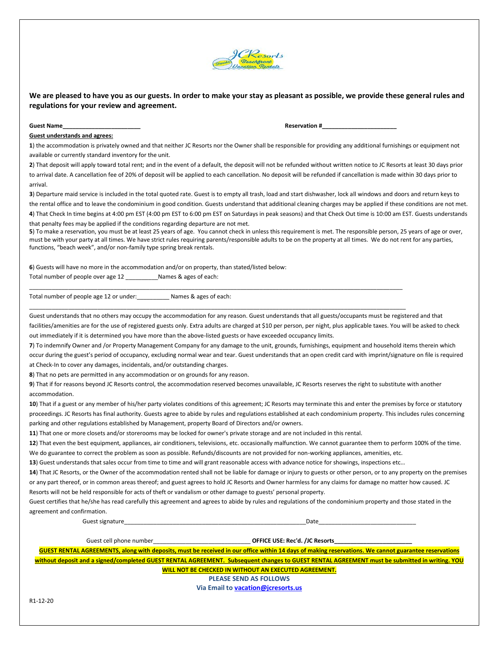

## **We are pleased to have you as our guests. In order to make your stay as pleasant as possible, we provide these general rules and regulations for your review and agreement.**

**Guest Name\_\_\_\_\_\_\_\_\_\_\_\_\_\_\_\_\_\_\_\_\_\_\_\_ Reservation #\_\_\_\_\_\_\_\_\_\_\_\_\_\_\_\_\_\_\_\_\_\_\_**

## **Guest understands and agrees:**

**1**) the accommodation is privately owned and that neither JC Resorts nor the Owner shall be responsible for providing any additional furnishings or equipment not available or currently standard inventory for the unit.

**2**) That deposit will apply toward total rent; and in the event of a default, the deposit will not be refunded without written notice to JC Resorts at least 30 days prior to arrival date. A cancellation fee of 20% of deposit will be applied to each cancellation. No deposit will be refunded if cancellation is made within 30 days prior to arrival.

**3**) Departure maid service is included in the total quoted rate. Guest is to empty all trash, load and start dishwasher, lock all windows and doors and return keys to the rental office and to leave the condominium in good condition. Guests understand that additional cleaning charges may be applied if these conditions are not met. **4**) That Check In time begins at 4:00 pm EST (4:00 pm EST to 6:00 pm EST on Saturdays in peak seasons) and that Check Out time is 10:00 am EST. Guests understands that penalty fees may be applied if the conditions regarding departure are not met.

**5**) To make a reservation, you must be at least 25 years of age. You cannot check in unless this requirement is met. The responsible person, 25 years of age or over, must be with your party at all times. We have strict rules requiring parents/responsible adults to be on the property at all times. We do not rent for any parties, functions, "beach week", and/or non-family type spring break rentals.

**6**) Guests will have no more in the accommodation and/or on property, than stated/listed below: Total number of people over age 12 \_\_\_\_\_\_\_\_\_\_Names & ages of each:

Total number of people age 12 or under:\_\_\_\_\_\_\_\_\_\_ Names & ages of each:

Guest understands that no others may occupy the accommodation for any reason. Guest understands that all guests/occupants must be registered and that facilities/amenities are for the use of registered guests only. Extra adults are charged at \$10 per person, per night, plus applicable taxes. You will be asked to check out immediately if it is determined you have more than the above-listed guests or have exceeded occupancy limits.

**7**) To indemnify Owner and /or Property Management Company for any damage to the unit, grounds, furnishings, equipment and household items therein which occur during the guest's period of occupancy, excluding normal wear and tear. Guest understands that an open credit card with imprint/signature on file is required at Check-In to cover any damages, incidentals, and/or outstanding charges.

**8**) That no pets are permitted in any accommodation or on grounds for any reason.

**9**) That if for reasons beyond JC Resorts control, the accommodation reserved becomes unavailable, JC Resorts reserves the right to substitute with another accommodation.

10) That if a guest or any member of his/her party violates conditions of this agreement; JC Resorts may terminate this and enter the premises by force or statutory proceedings. JC Resorts has final authority. Guests agree to abide by rules and regulations established at each condominium property. This includes rules concerning parking and other regulations established by Management, property Board of Directors and/or owners.

**11**) That one or more closets and/or storerooms may be locked for owner's private storage and are not included in this rental.

**12**) That even the best equipment, appliances, air conditioners, televisions, etc. occasionally malfunction. We cannot guarantee them to perform 100% of the time. We do guarantee to correct the problem as soon as possible. Refunds/discounts are not provided for non-working appliances, amenities, etc.

\_\_\_\_\_\_\_\_\_\_\_\_\_\_\_\_\_\_\_\_\_\_\_\_\_\_\_\_\_\_\_\_\_\_\_\_\_\_\_\_\_\_\_\_\_\_\_\_\_\_\_\_\_\_\_\_\_\_\_\_\_\_\_\_\_\_\_\_\_\_\_\_\_\_\_\_\_\_\_\_\_\_\_\_\_\_\_\_\_\_\_\_\_\_\_\_\_\_\_\_\_\_\_\_\_\_\_\_\_\_\_\_\_\_\_

\_\_\_\_\_\_\_\_\_\_\_\_\_\_\_\_\_\_\_\_\_\_\_\_\_\_\_\_\_\_\_\_\_\_\_\_\_\_\_\_\_\_\_\_\_\_\_\_\_\_\_\_\_\_\_\_\_\_\_\_\_\_\_\_\_\_\_\_\_\_\_\_\_\_\_\_\_\_\_\_\_\_\_\_\_\_\_\_\_\_\_\_\_\_\_\_\_\_\_\_\_\_\_\_\_\_\_\_\_\_\_\_\_\_\_\_

**13**) Guest understands that sales occur from time to time and will grant reasonable access with advance notice for showings, inspections etc…

**14**) That JC Resorts, or the Owner of the accommodation rented shall not be liable for damage or injury to guests or other person, or to any property on the premises or any part thereof, or in common areas thereof; and guest agrees to hold JC Resorts and Owner harmless for any claims for damage no matter how caused. JC Resorts will not be held responsible for acts of theft or vandalism or other damage to guests' personal property.

Guest certifies that he/she has read carefully this agreement and agrees to abide by rules and regulations of the condominium property and those stated in the agreement and confirmation.

Guest signature\_\_\_\_\_\_\_\_\_\_\_\_\_\_\_\_\_\_\_\_\_\_\_\_\_\_\_\_\_\_\_\_\_\_\_\_\_\_\_\_\_\_\_\_\_\_\_\_\_\_\_\_\_\_\_\_Date\_\_\_\_\_\_\_\_\_\_\_\_\_\_\_\_\_\_\_\_\_\_\_\_\_\_\_\_\_\_

Guest cell phone number\_\_\_\_\_\_\_\_\_\_\_\_\_\_\_\_\_\_\_\_\_\_\_\_\_\_\_\_\_\_ **OFFICE USE: Rec'd. /JC Resorts\_\_\_\_\_\_\_\_\_\_\_\_\_\_\_\_\_\_\_\_\_\_\_\_**

**GUEST RENTAL AGREEMENTS, along with deposits, must be received in our office within 14 days of making reservations. We cannot guarantee reservations without deposit and a signed/completed GUEST RENTAL AGREEMENT. Subsequent changes to GUEST RENTAL AGREEMENT must be submitted in writing. YOU WILL NOT BE CHECKED IN WITHOUT AN EXECUTED AGREEMENT.**

**PLEASE SEND AS FOLLOWS**

**Via Email to [vacation@jcresorts.us](mailto:vacation@jcresorts.us)**